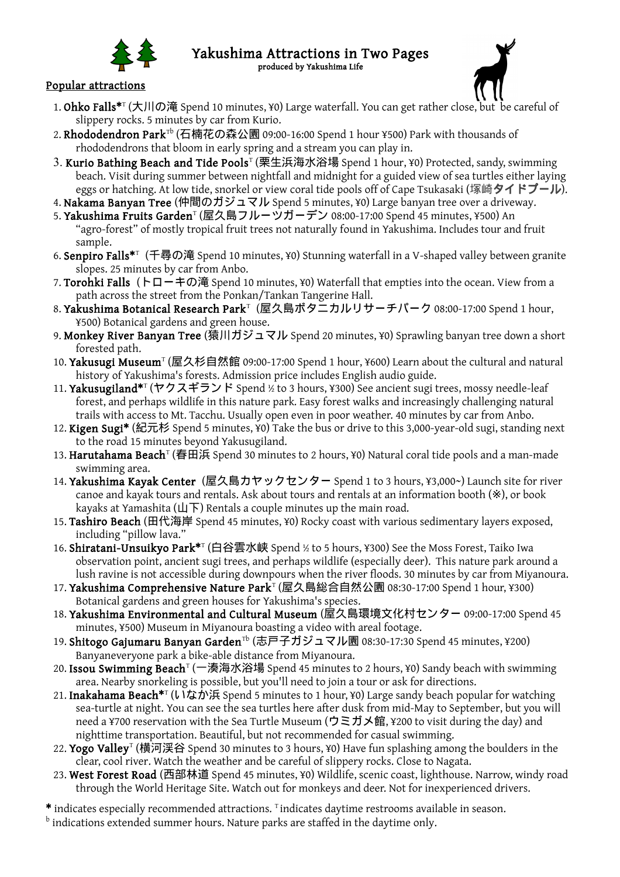

## Yakushima Attractions in Two Pages produced by Yakushima Life

## Popular attractions

- 1. Ohko Falls\*<sup>T</sup> (大川の滝 Spend 10 minutes, ¥0) Large waterfall. You can get rather close, but be careful of slippery rocks. 5 minutes by car from Kurio.
- 2**. Rhododendron Park**™ (石楠花の森公園 09:00-16:00 Spend 1 hour ¥500) Park with thousands of rhododendrons that bloom in early spring and a stream you can play in.
- 3. **Kurio Bathing Beach and Tide Pools**<sup>T</sup> (栗生浜海水浴場 Spend 1 hour, ¥0) Protected, sandy, swimming beach. Visit during summer between nightfall and midnight for a guided view of sea turtles either laying eggs or hatching. At low tide, snorkel or view coral tide pools off of Cape Tsukasaki (塚崎タイドプール).
- 4. Nakama Banyan Tree (仲間のガジュマル Spend 5 minutes, ¥0) Large banyan tree over a driveway.
- 5. **Yakushima Fruits Garden**" (屋久島フルーツガーデン 08:00-17:00 Spend 45 minutes, ¥500) An "agro-forest" of mostly tropical fruit trees not naturally found in Yakushima. Includes tour and fruit sample.
- 6. Senpiro Falls\*<sup>T</sup> (千尋の滝 Spend 10 minutes, ¥0) Stunning waterfall in a V-shaped valley between granite slopes. 25 minutes by car from Anbo.
- 7. Torohki Falls (トローキの滝 Spend 10 minutes, ¥0) Waterfall that empties into the ocean. View from a path across the street from the Ponkan/Tankan Tangerine Hall.
- 8. **Yakushima Botanical Research Park**T(屋久島ボタニカルリサーチパーク 08:00-17:00 Spend 1 hour, ¥500) Botanical gardens and green house.
- 9. Monkey River Banyan Tree (猿川ガジュマル Spend 20 minutes, ¥0) Sprawling banyan tree down a short forested path.
- 10. Yakusugi Museum<sup>T</sup> (屋久杉自然館 09:00-17:00 Spend 1 hour, ¥600) Learn about the cultural and natural history of Yakushima's forests. Admission price includes English audio guide.
- 11. Yakusugiland\*<sup>r</sup> (ヤクスギランド Spend ½ to 3 hours, ¥300) See ancient sugi trees, mossy needle-leaf forest, and perhaps wildlife in this nature park*.* Easy forest walks and increasingly challenging natural trails with access to Mt. Tacchu. Usually open even in poor weather. 40 minutes by car from Anbo.
- 12. Kigen Sugi<sup>\*</sup> (紀元杉 Spend 5 minutes, ¥0) Take the bus or drive to this 3,000-year-old sugi, standing next to the road 15 minutes beyond Yakusugiland.
- 13**. Harutahama Beach**™ (春田浜 Spend 30 minutes to 2 hours, ¥0) Natural coral tide pools and a man-made swimming area.
- 14. Yakushima Kayak Center (屋久島カヤックセンター Spend 1 to 3 hours, ¥3,000~) Launch site for river canoe and kayak tours and rentals. Ask about tours and rentals at an information booth (※), or book kayaks at Yamashita (山下) Rentals a couple minutes up the main road.
- 15. Tashiro Beach (田代海岸 Spend 45 minutes, ¥0) Rocky coast with various sedimentary layers exposed, including "pillow lava."
- 16. **Shiratani-Unsuikyo Park\***™ (白谷雲水峡 Spend ½ to 5 hours, ¥300) See the Moss Forest, Taiko Iwa observation point, ancient sugi trees, and perhaps wildlife (especially deer). This nature park around a lush ravine is not accessible during downpours when the river floods. 30 minutes by car from Miyanoura.
- 17**. Yakushima Comprehensive Nature Park**T (屋久島総合自然公園 08:30-17:00 Spend 1 hour, ¥300) Botanical gardens and green houses for Yakushima's species.
- 18. Yakushima Environmental and Cultural Museum (屋久島環境文化村センター 09:00-17:00 Spend 45 minutes, ¥500) Museum in Miyanoura boasting a video with areal footage.
- 19. **Shitogo Gajumaru Banyan Garden**™ (志戸子ガジュマル園 08:30-17:30 Spend 45 minutes, ¥200) Banyaneveryone park a bike-able distance from Miyanoura.
- 20**. Issou Swimming Beach**<sup>T</sup> (一湊海水浴場 Spend 45 minutes to 2 hours, ¥0) Sandy beach with swimming area. Nearby snorkeling is possible, but you'll need to join a tour or ask for directions.
- 21. Inakahama Beach\*<sup>T</sup> (いなか浜 Spend 5 minutes to 1 hour, ¥0) Large sandy beach popular for watching sea-turtle at night. You can see the sea turtles here after dusk from mid-May to September, but you will need a ¥700 reservation with the Sea Turtle Museum (ウミガメ館, ¥200 to visit during the day) and nighttime transportation. Beautiful, but not recommended for casual swimming.
- 22**. Yogo Valley**" (横河渓谷 Spend 30 minutes to 3 hours, ¥0) Have fun splashing among the boulders in the clear, cool river. Watch the weather and be careful of slippery rocks. Close to Nagata.
- 23. West Forest Road (西部林道 Spend 45 minutes, ¥0) Wildlife, scenic coast, lighthouse. Narrow, windy road through the World Heritage Site. Watch out for monkeys and deer. Not for inexperienced drivers.
- \* indicates especially recommended attractions. Tindicates daytime restrooms available in season.
- $^{\rm b}$  indications extended summer hours. Nature parks are staffed in the daytime only.